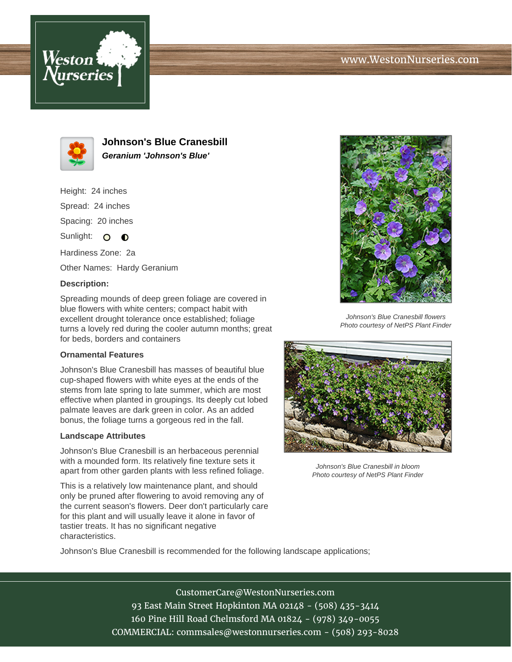





**Johnson's Blue Cranesbill Geranium 'Johnson's Blue'**

Height: 24 inches Spread: 24 inches Spacing: 20 inches Sunlight:  $\circ$   $\bullet$ 

Hardiness Zone: 2a Other Names: Hardy Geranium

## **Description:**

Spreading mounds of deep green foliage are covered in blue flowers with white centers; compact habit with excellent drought tolerance once established; foliage turns a lovely red during the cooler autumn months; great for beds, borders and containers

## **Ornamental Features**

Johnson's Blue Cranesbill has masses of beautiful blue cup-shaped flowers with white eyes at the ends of the stems from late spring to late summer, which are most effective when planted in groupings. Its deeply cut lobed palmate leaves are dark green in color. As an added bonus, the foliage turns a gorgeous red in the fall.

## **Landscape Attributes**

Johnson's Blue Cranesbill is an herbaceous perennial with a mounded form. Its relatively fine texture sets it apart from other garden plants with less refined foliage.

This is a relatively low maintenance plant, and should only be pruned after flowering to avoid removing any of the current season's flowers. Deer don't particularly care for this plant and will usually leave it alone in favor of tastier treats. It has no significant negative characteristics.



Johnson's Blue Cranesbill flowers Photo courtesy of NetPS Plant Finder



Johnson's Blue Cranesbill in bloom Photo courtesy of NetPS Plant Finder

Johnson's Blue Cranesbill is recommended for the following landscape applications;

CustomerCare@WestonNurseries.com 93 East Main Street Hopkinton MA 02148 - (508) 435-3414 160 Pine Hill Road Chelmsford MA 01824 - (978) 349-0055 COMMERCIAL: commsales@westonnurseries.com - (508) 293-8028